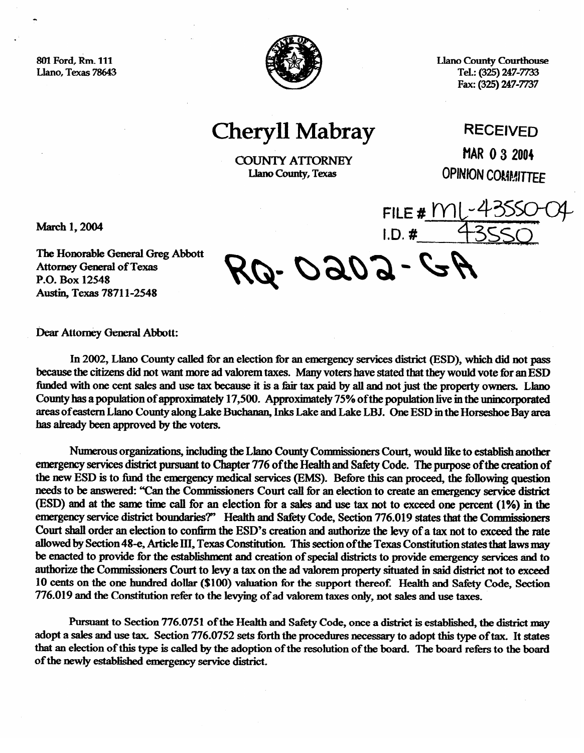801 Ford. Rm. 111 Llano. Texas 78643



**Llano County Courthouse** Tel.: (325) 247-7733 Fax: (325) 247-7737

**Cheryll Mabray** 

**COUNTY ATTORNEY** Llano County, Texas

**RECFIVED MAR 0 3 2004 OPINION COMMITTEE** 

March 1, 2004

The Honorable General Greg Abbott **Attorney General of Texas** P.O. Box 12548 Austin, Texas 78711-2548

Q-0202-GA

 $FILE # MI$ 

 $I.D.$ #

Dear Attorney General Abbott:

In 2002, Llano County called for an election for an emergency services district (ESD), which did not pass because the citizens did not want more ad valorem taxes. Many voters have stated that they would vote for an ESD funded with one cent sales and use tax because it is a fair tax paid by all and not just the property owners. Llano County has a population of approximately 17,500. Approximately 75% of the population live in the unincorporated areas of eastern Llano County along Lake Buchanan, Inks Lake and Lake LBJ. One ESD in the Horseshoe Bay area has already been approved by the voters.

Numerous organizations, including the Llano County Commissioners Court, would like to establish another emergency services district pursuant to Chapter 776 of the Health and Safety Code. The purpose of the creation of the new ESD is to fund the emergency medical services (EMS). Before this can proceed, the following question needs to be answered: "Can the Commissioners Court call for an election to create an emergency service district (ESD) and at the same time call for an election for a sales and use tax not to exceed one percent (1%) in the emergency service district boundaries?" Health and Safety Code, Section 776.019 states that the Commissioners Court shall order an election to confirm the ESD's creation and authorize the levy of a tax not to exceed the rate allowed by Section 48-e, Article III, Texas Constitution. This section of the Texas Constitution states that laws may be enacted to provide for the establishment and creation of special districts to provide emergency services and to authorize the Commissioners Court to levy a tax on the ad valorem property situated in said district not to exceed 10 cents on the one hundred dollar (\$100) valuation for the support thereof. Health and Safety Code, Section 776.019 and the Constitution refer to the levying of ad valorem taxes only, not sales and use taxes.

Pursuant to Section 776.0751 of the Health and Safety Code, once a district is established, the district may adopt a sales and use tax. Section 776.0752 sets forth the procedures necessary to adopt this type of tax. It states that an election of this type is called by the adoption of the resolution of the board. The board refers to the board of the newly established emergency service district.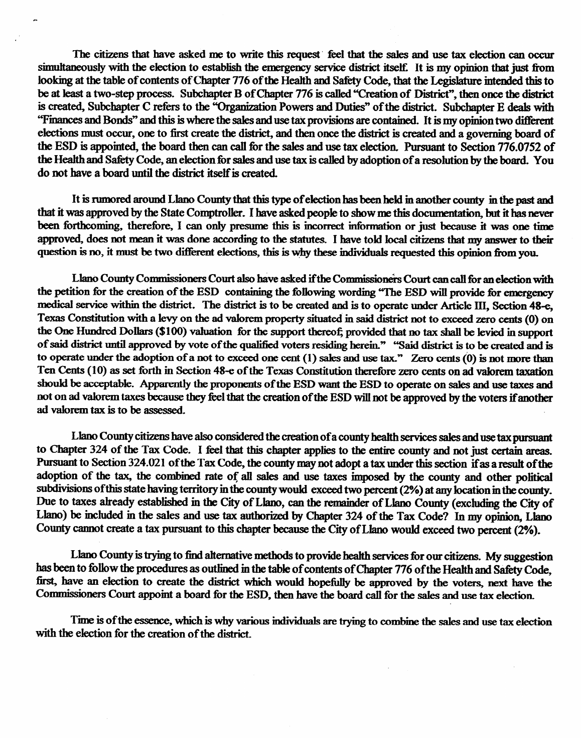The citizens that have asked me to write this request feel that the sales and use tax election can occur simultaneously with the election to establish the emergency service district itself. It is my opinion that just from looking at the table of contents of Chapter 776 of the Health and Safety Code, that the Legislature intended this to be at least a two-step process. Subchapter B of Chapter 776 is called "Creation of District", then once the district is created, Subchapter C refers to the "Organization Powers and Duties" of the district. Subchapter E deals with "Finances and Bonds" and this is where the sales and use tax provisions are contained. It is my opinion two different elections must occur, one to first create the district, and then once the district is created and a governing board of the ESD is appointed, the board then can call for the sales and use tax election. Pursuant to Section  $776.0752$  of the Health and Safety Code, an election for sales and use tax is called by adoption of a resolution by the board. You do not have a board until the district itself is created.

It is rumored around Llano County that this type of election has been held in another county in the past and that it was approved by the State Comptroller. I have asked people to show me this documentation, but it has never been forthcoming, therefore, I can only presume this is incorrect information or just because it was one time approved, does not mean it was done according to the statutes. I have told local citizens that my answer to their question is no, it must be two different elections, this is why these individuals requested this opinion from you.

Llano County Commissioners Court also have asked if the Commissioners Court can call for an election with the petition for the creation of the ESD containing the following wording "The ESD will provide for emergency medical service within the district. The district is to be created and is to operate under Article III. Section 48-e. Texas Constitution with a levy on the ad valorem property situated in said district not to exceed zero cents (0) on the One Hundred Dollars (\$100) valuation for the support thereof; provided that no tax shall be levied in support of said district until approved by vote of the qualified voters residing herein." "Said district is to be created and is to operate under the adoption of a not to exceed one cent  $(1)$  sales and use tax." Zero cents  $(0)$  is not more than Ten Cents (10) as set forth in Section 48-e of the Texas Constitution therefore zero cents on ad valorem taxation should be acceptable. Apparently the proponents of the ESD want the ESD to operate on sales and use taxes and not on ad valorem taxes because they feel that the creation of the ESD will not be approved by the voters if another ad valorem tax is to be assessed.

Llano County citizens have also considered the creation of a county health services sales and use tax pursuant to Chapter 324 of the Tax Code. I feel that this chapter applies to the entire county and not just certain areas. Pursuant to Section 324.021 of the Tax Code, the county may not adopt a tax under this section if as a result of the adoption of the tax, the combined rate of all sales and use taxes imposed by the county and other political subdivisions of this state having territory in the county would exceed two percent (2%) at any location in the county. Due to taxes already established in the City of Llano, can the remainder of Llano County (excluding the City of Llano) be included in the sales and use tax authorized by Chapter 324 of the Tax Code? In my opinion. Llano County cannot create a tax pursuant to this chapter because the City of Llano would exceed two percent (2%).

Llano County is trying to find alternative methods to provide health services for our citizens. My suggestion has been to follow the procedures as outlined in the table of contents of Chapter 776 of the Health and Safety Code, first, have an election to create the district which would hopefully be approved by the voters, next have the Commissioners Court appoint a board for the ESD, then have the board call for the sales and use tax election.

Time is of the essence, which is why various individuals are trying to combine the sales and use tax election with the election for the creation of the district